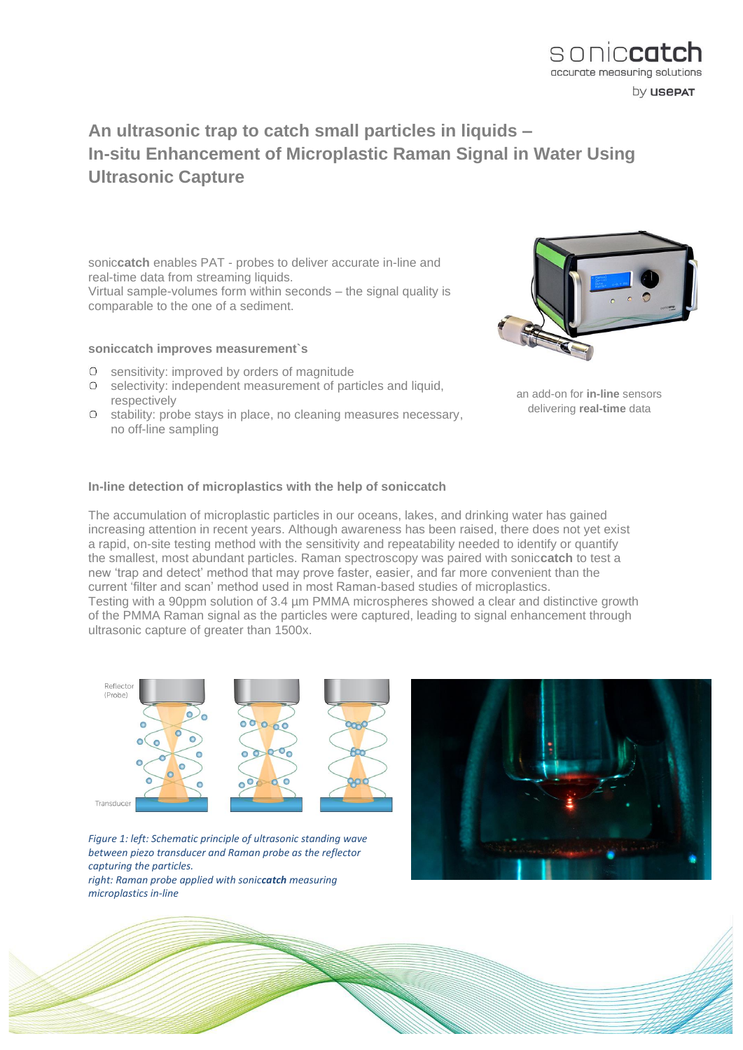## **An ultrasonic trap to catch small particles in liquids – In-situ Enhancement of Microplastic Raman Signal in Water Using Ultrasonic Capture**

sonic**catch** enables PAT - probes to deliver accurate in-line and real-time data from streaming liquids. Virtual sample-volumes form within seconds – the signal quality is comparable to the one of a sediment.

### **soniccatch improves measurement`s**

- sensitivity: improved by orders of magnitude
- O selectivity: independent measurement of particles and liquid, respectively
- O stability: probe stays in place, no cleaning measures necessary, no off-line sampling



an add-on for **in-line** sensors delivering **real-time** data

#### **In-line detection of microplastics with the help of soniccatch**

The accumulation of microplastic particles in our oceans, lakes, and drinking water has gained increasing attention in recent years. Although awareness has been raised, there does not yet exist a rapid, on-site testing method with the sensitivity and repeatability needed to identify or quantify the smallest, most abundant particles. Raman spectroscopy was paired with sonic**catch** to test a new 'trap and detect' method that may prove faster, easier, and far more convenient than the current 'filter and scan' method used in most Raman-based studies of microplastics. Testing with a 90ppm solution of 3.4 µm PMMA microspheres showed a clear and distinctive growth of the PMMA Raman signal as the particles were captured, leading to signal enhancement through ultrasonic capture of greater than 1500x.



*Figure 1: left: Schematic principle of ultrasonic standing wave between piezo transducer and Raman probe as the reflector capturing the particles. right: Raman probe applied with soniccatch measuring microplastics in-line*





by **usepat**